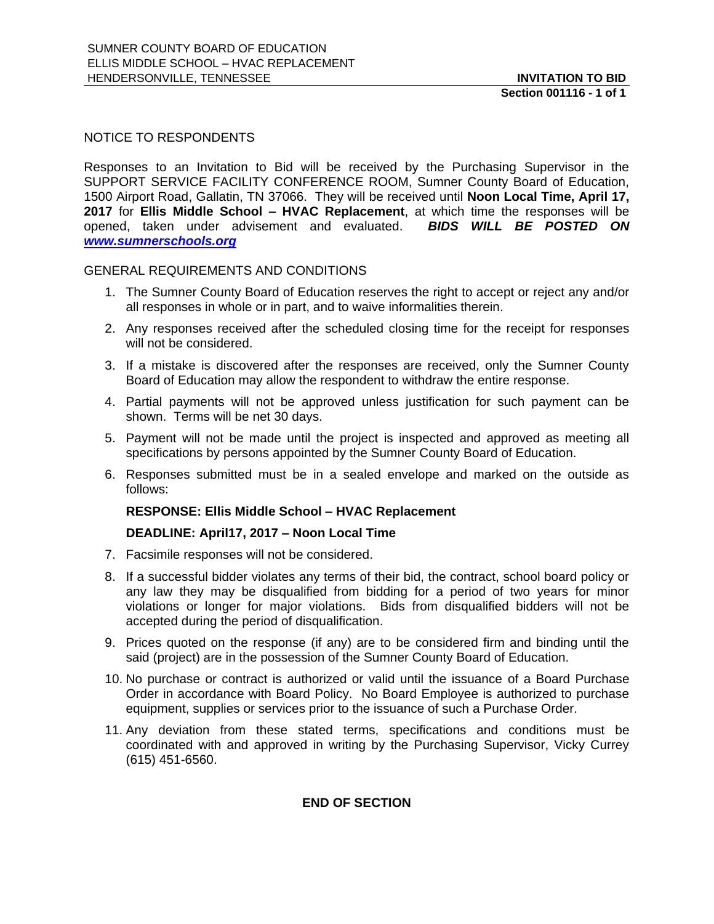## NOTICE TO RESPONDENTS

Responses to an Invitation to Bid will be received by the Purchasing Supervisor in the SUPPORT SERVICE FACILITY CONFERENCE ROOM, Sumner County Board of Education, 1500 Airport Road, Gallatin, TN 37066. They will be received until **Noon Local Time, April 17, 2017** for **Ellis Middle School – HVAC Replacement**, at which time the responses will be opened, taken under advisement and evaluated. *BIDS WILL BE POSTED ON [www.sumnerschools.org](http://www.sumnerschools.org/)*

### GENERAL REQUIREMENTS AND CONDITIONS

- 1. The Sumner County Board of Education reserves the right to accept or reject any and/or all responses in whole or in part, and to waive informalities therein.
- 2. Any responses received after the scheduled closing time for the receipt for responses will not be considered.
- 3. If a mistake is discovered after the responses are received, only the Sumner County Board of Education may allow the respondent to withdraw the entire response.
- 4. Partial payments will not be approved unless justification for such payment can be shown. Terms will be net 30 days.
- 5. Payment will not be made until the project is inspected and approved as meeting all specifications by persons appointed by the Sumner County Board of Education.
- 6. Responses submitted must be in a sealed envelope and marked on the outside as follows:

### **RESPONSE: Ellis Middle School – HVAC Replacement**

### **DEADLINE: April17, 2017 – Noon Local Time**

- 7. Facsimile responses will not be considered.
- 8. If a successful bidder violates any terms of their bid, the contract, school board policy or any law they may be disqualified from bidding for a period of two years for minor violations or longer for major violations. Bids from disqualified bidders will not be accepted during the period of disqualification.
- 9. Prices quoted on the response (if any) are to be considered firm and binding until the said (project) are in the possession of the Sumner County Board of Education.
- 10. No purchase or contract is authorized or valid until the issuance of a Board Purchase Order in accordance with Board Policy. No Board Employee is authorized to purchase equipment, supplies or services prior to the issuance of such a Purchase Order.
- 11. Any deviation from these stated terms, specifications and conditions must be coordinated with and approved in writing by the Purchasing Supervisor, Vicky Currey (615) 451-6560.

# **END OF SECTION**